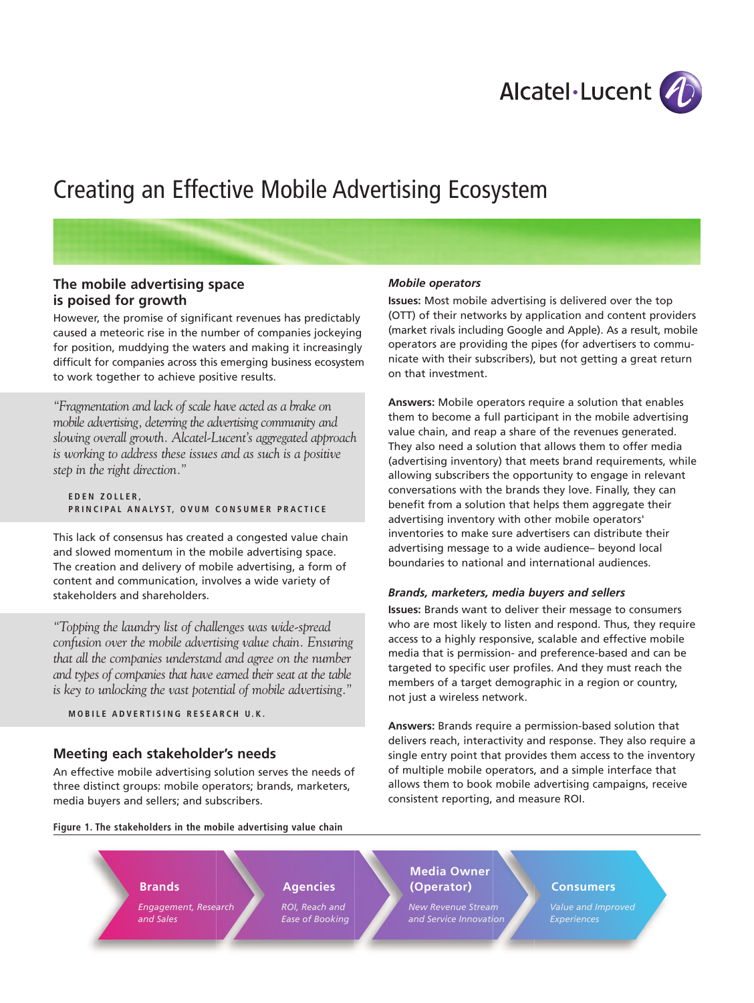

# Creating an Effective Mobile Advertising Ecosystem

## **The mobile advertising space is poised for growth**

However, the promise of significant revenues has predictably caused a meteoric rise in the number of companies jockeying for position, muddying the waters and making it increasingly difficult for companies across this emerging business ecosystem to work together to achieve positive results.

*"Fragmentation and lack of scale have acted as a brake on mobile advertising, deterring the advertising community and slowing overall growth. Alcatel-Lucent's aggregated approach is working to address these issues and as such is a positive step in the right direction."*

#### **E D E N Z O L L E R ,** PRINCIPAL ANALYST, OVUM CONSUMER PRACTICE

This lack of consensus has created a congested value chain and slowed momentum in the mobile advertising space. The creation and delivery of mobile advertising, a form of content and communication, involves a wide variety of stakeholders and shareholders.

*"Topping the laundry list of challenges was wide-spread confusion over the mobile advertising value chain. Ensuring that all the companies understand and agree on the number and types of companies that have earned their seat at the table is key to unlocking the vast potential of mobile advertising."*

MOBILE ADVERTISING RESEARCH U.K.

## **Meeting each stakeholder's needs**

An effective mobile advertising solution serves the needs of three distinct groups: mobile operators; brands, marketers, media buyers and sellers; and subscribers.

**Figure 1. The stakeholders in the mobile advertising value chain**

## *Mobile operators*

**Issues:** Most mobile advertising is delivered over the top (OTT) of their networks by application and content providers (market rivals including Google and Apple). As a result, mobile operators are providing the pipes (for advertisers to communicate with their subscribers), but not getting a great return on that investment.

**Answers:** Mobile operators require a solution that enables them to become a full participant in the mobile advertising value chain, and reap a share of the revenues generated. They also need a solution that allows them to offer media (advertising inventory) that meets brand requirements, while allowing subscribers the opportunity to engage in relevant conversations with the brands they love. Finally, they can benefit from a solution that helps them aggregate their advertising inventory with other mobile operators' inventories to make sure advertisers can distribute their advertising message to a wide audience– beyond local boundaries to national and international audiences.

## *Brands, marketers, media buyers and sellers*

**Issues:** Brands want to deliver their message to consumers who are most likely to listen and respond. Thus, they require access to a highly responsive, scalable and effective mobile media that is permission- and preference-based and can be targeted to specific user profiles. And they must reach the members of a target demographic in a region or country, not just a wireless network.

**Answers:** Brands require a permission-based solution that delivers reach, interactivity and response. They also require a single entry point that provides them access to the inventory of multiple mobile operators, and a simple interface that allows them to book mobile advertising campaigns, receive consistent reporting, and measure ROI.